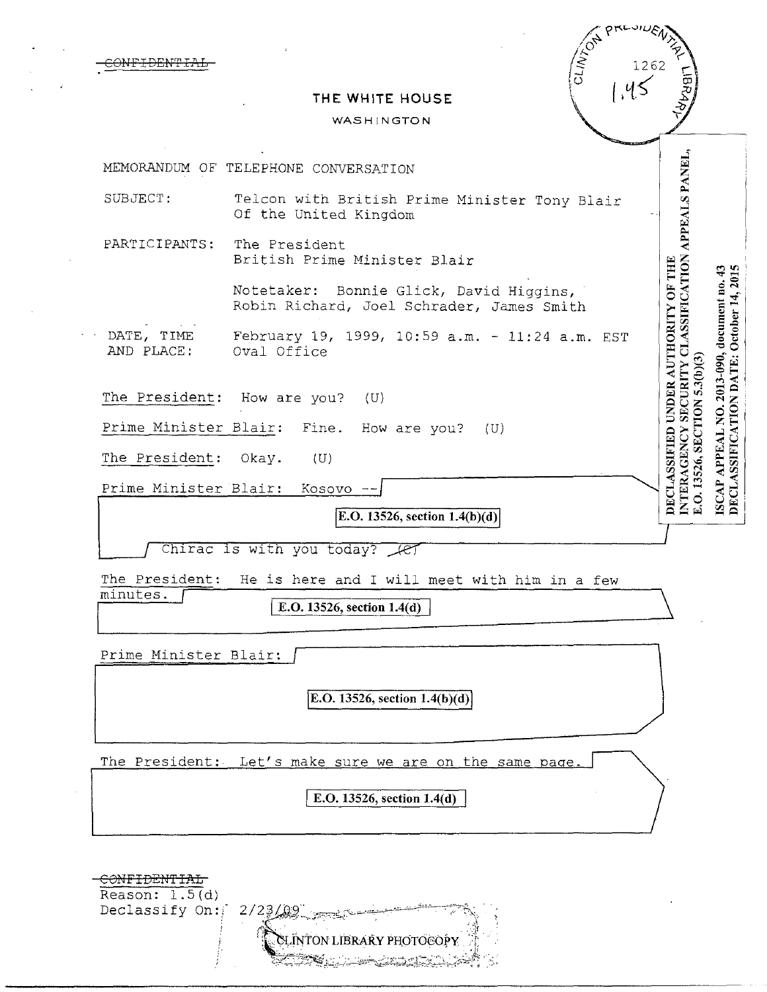| ד הזרגים בדים                                                 | PREVILLE<br>CLINTON<br>1262                                                                                                                                                                                       |
|---------------------------------------------------------------|-------------------------------------------------------------------------------------------------------------------------------------------------------------------------------------------------------------------|
|                                                               | <b>LIBRAA</b><br>THE WHITE HOUSE<br>WASHINGTON                                                                                                                                                                    |
|                                                               |                                                                                                                                                                                                                   |
|                                                               | MEMORANDUM OF TELEPHONE CONVERSATION                                                                                                                                                                              |
| SUBJECT:                                                      | APPEALS PANEL,<br>Telcon with British Prime Minister Tony Blair<br>Of the United Kingdom                                                                                                                          |
| PARTICIPANTS:                                                 | The President<br>British Prime Minister Blair<br>43                                                                                                                                                               |
|                                                               | Notetaker: Bonnie Glick, David Higgins,<br>Robin Richard, Joel Schrader, James Smith                                                                                                                              |
| DATE, TIME<br>AND PLACE:                                      | SECURITY CLASSIFICATION<br>DECLASSIFIED UNDER AUTHORITY OF THE<br>DECLASSIFICATION DATE: October 14, 2015<br>2013-090, document no.<br>February 19, 1999, 10:59 a.m. - 11:24 a.m. EST<br>Oval Office<br>5.3(b)(3) |
|                                                               | The President: How are you?<br>(U)<br>$\dot{Q}$                                                                                                                                                                   |
|                                                               | Prime Minister Blair:<br>Fine. How are you?<br>(U)                                                                                                                                                                |
| The President:                                                | E.O. 13526, SECTION<br>INTERAGENCY<br><b>APPEAL</b><br>Okay.<br>(U)                                                                                                                                               |
|                                                               | <b>ISCAP</b><br>Prime Minister Blair:<br>Kosovo                                                                                                                                                                   |
|                                                               | <b>E.O.</b> 13526, section $1.4(b)(d)$                                                                                                                                                                            |
|                                                               | Chirac is with you today? let                                                                                                                                                                                     |
| The President:                                                | He is here and I will meet with him in a few                                                                                                                                                                      |
| minutes.                                                      | E.O. 13526, section 1.4(d)                                                                                                                                                                                        |
|                                                               | Prime Minister Blair:                                                                                                                                                                                             |
|                                                               | E.O. 13526, section 1.4(b)(d)                                                                                                                                                                                     |
|                                                               | The President: Let's make sure we are on the same page.                                                                                                                                                           |
|                                                               | E.O. 13526, section 1.4(d)                                                                                                                                                                                        |
| <del>CONFIDENTIAL</del><br>Reason: $1.5(d)$<br>Declassify On: | 2/23/29<br>CLINTON LIBRARY PHOTOCOPY<br>G. Latarija                                                                                                                                                               |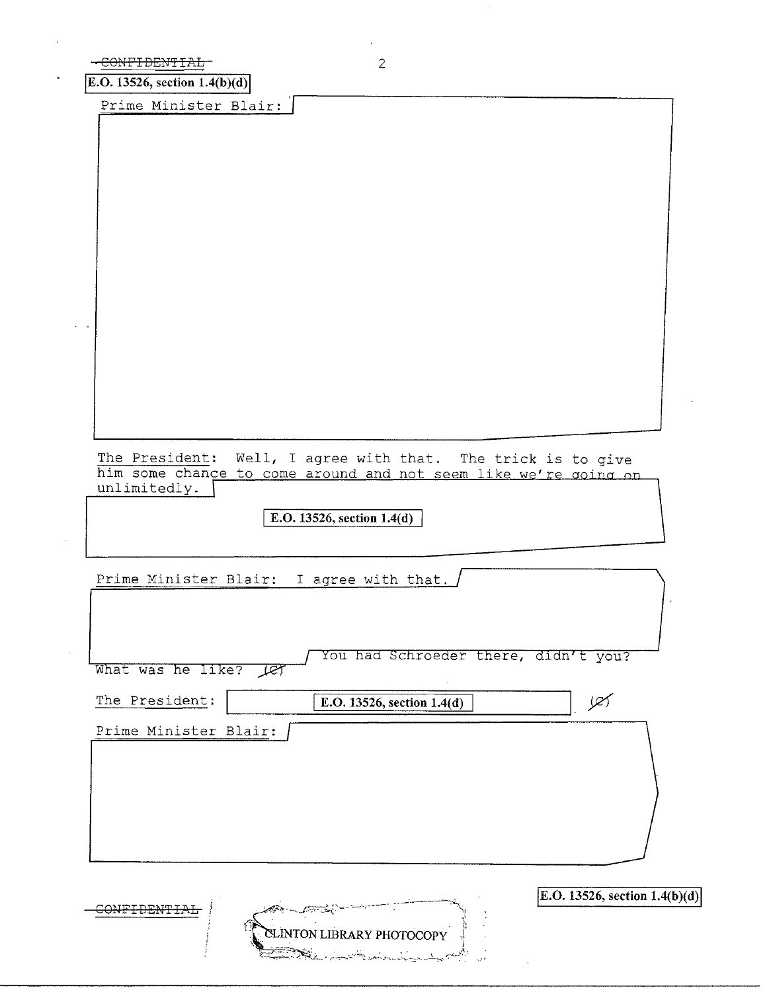|  |  |  | CONTETERIBIAI   |  |  |  |  |
|--|--|--|-----------------|--|--|--|--|
|  |  |  | UUNT TULIVI TAU |  |  |  |  |

CONFIDENTIAL

E.O. 13526, section  $1.4(b)(d)$ 

Prime Minister Blair:

The President: Well, I agree with that. The trick is to give him some chance to come around and not seem like we're going on unlimitedly.

E.O. 13526, section  $1.4(d)$ 

Prime Minister Blair: I agree with that.

| What was he like?<br>Let | You had Schroeder there, didn't you? |                                 |
|--------------------------|--------------------------------------|---------------------------------|
| The President:           | E.O. 13526, section 1.4(d)           | œ                               |
| Prime Minister Blair:    |                                      |                                 |
|                          |                                      |                                 |
|                          |                                      |                                 |
|                          |                                      |                                 |
| $\sim$ 10 $^\circ$       |                                      | E.O. 13526, section $1.4(b)(d)$ |

CLINTON LIBRARY PHOTOCOPY

≸ই: ,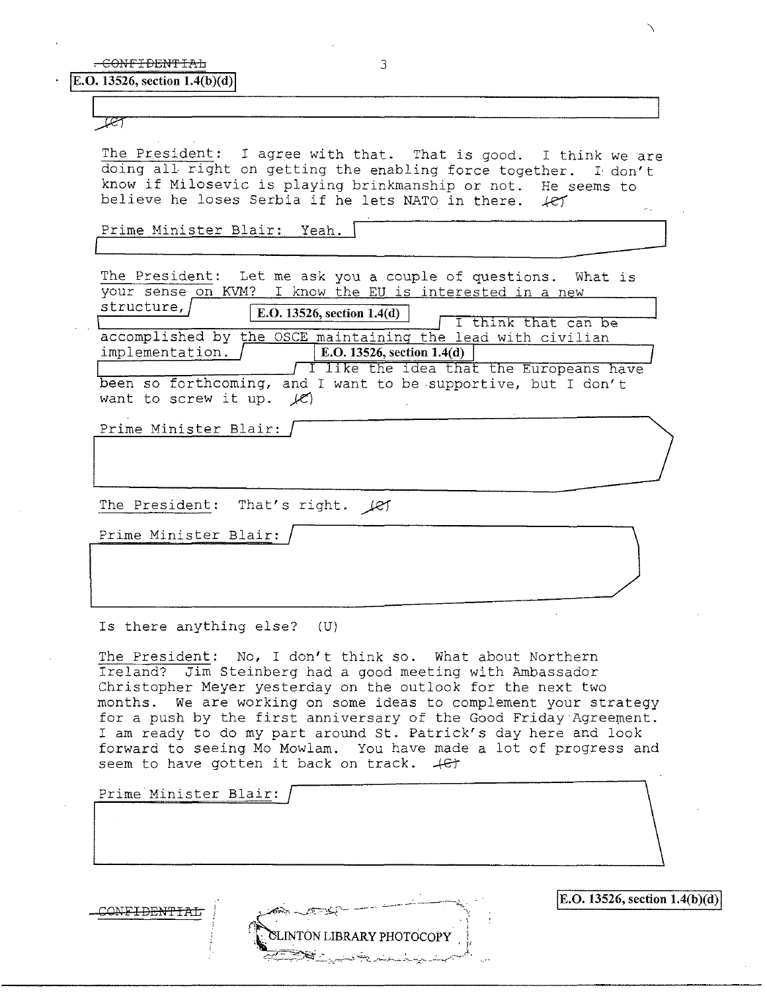প্লে

The President: I agree with that. That is good. I think we are doing all right on getting the enabling force together. I don't know if Milosevic is playing brinkmanship or not. He seems to believe he loses Serbia if he lets NATO in there.  $\angle$ ey believe he loses Serbia if he lets NATO in there.

Prime Minister Blair: Yeah. <sup>[</sup>

The President: Let me ask you a couple of questions. What is your sense on KVM? I know the EU is interested in a new

structure, / I **E.0.13526, section 1.4(d)** I I think that can be

accomplished by the OSCE maintaining the lead with civilian implementation.  $\int$  [E.O. 13526, section 1.4(d)] implementation. I like the idea that the Europeans have been so forthcoming, and I want to screw it up.  $\mathcal{L}$ 

ILLET  $\overline{\phantom{a}}$ 

Prime Minister Blair:

The President: That's right.  $\cancel{\ell}$ 

Prime Minister Blair:

Is there anything else? (U)

The President: No, I don't think so. What about Northern Ireland? Jim Steinberg had a good meeting with Ambassador Christopher Meyer yesterday on the outlook for the next two months. We are working on some ideas to complement your strategy for a push by the first anniversary of the Good Friday Agreement. I am ready to do my part around St. Patrick's day here and look forward to seeing Mo Mowlam. You have made a lot of progress and seem to have gotten it back on track.  $\#$ 

Prime Minister Blair:

CONF<del>IDENTIAL</del>

INTON LIBRARY PHOTOCOPY

 $|E.O. 13526$ , section  $1.4(b)(d)|$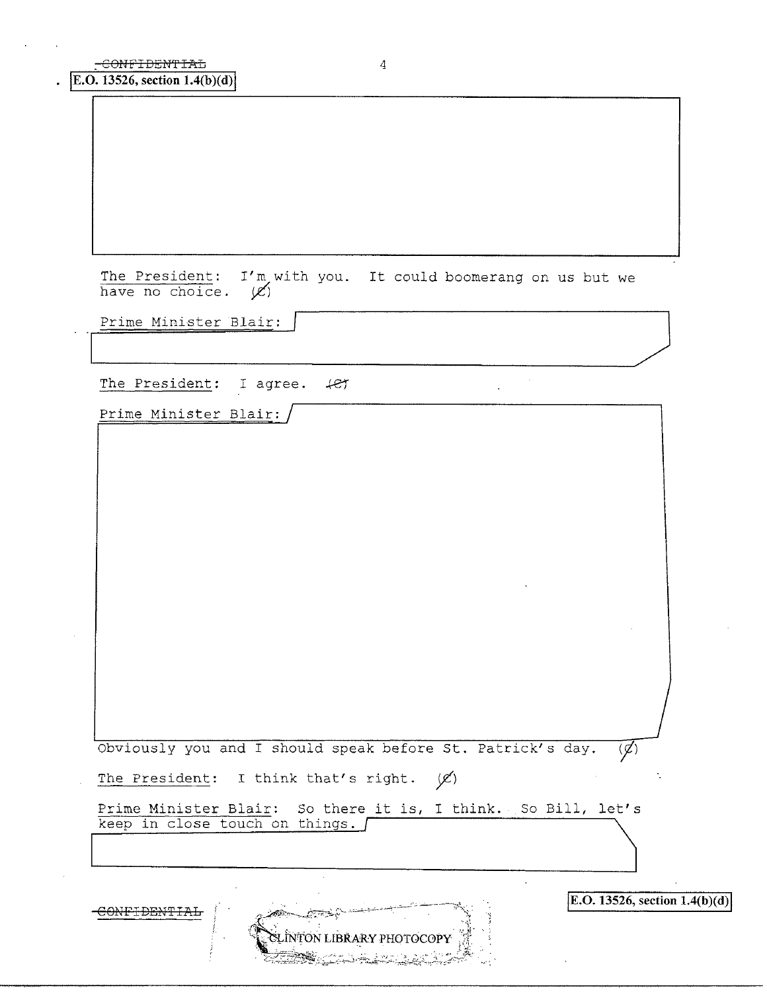E.O. 13526, section 1.4(b)(d)

The President: I'm with you. It could boomerang on us but we have no choice.  $\cancel{\mathscr{L}}$ 

Prime Minister Blair:

The President: I agree. +et

Prime Minister Blair:

Obviously you and I should speak before St. Patrick's day.  $\overline{(\cancel{z})}$ 

The President: I think that's right.  $(X)$ 

Prime Minister Blair: So there it is, I think. So Bill, let's keep in close touch on things.

CONFIDENTIAL

INTON LIBRARY PHOTOCOPY

E.O. 13526, section  $1.4(b)(d)$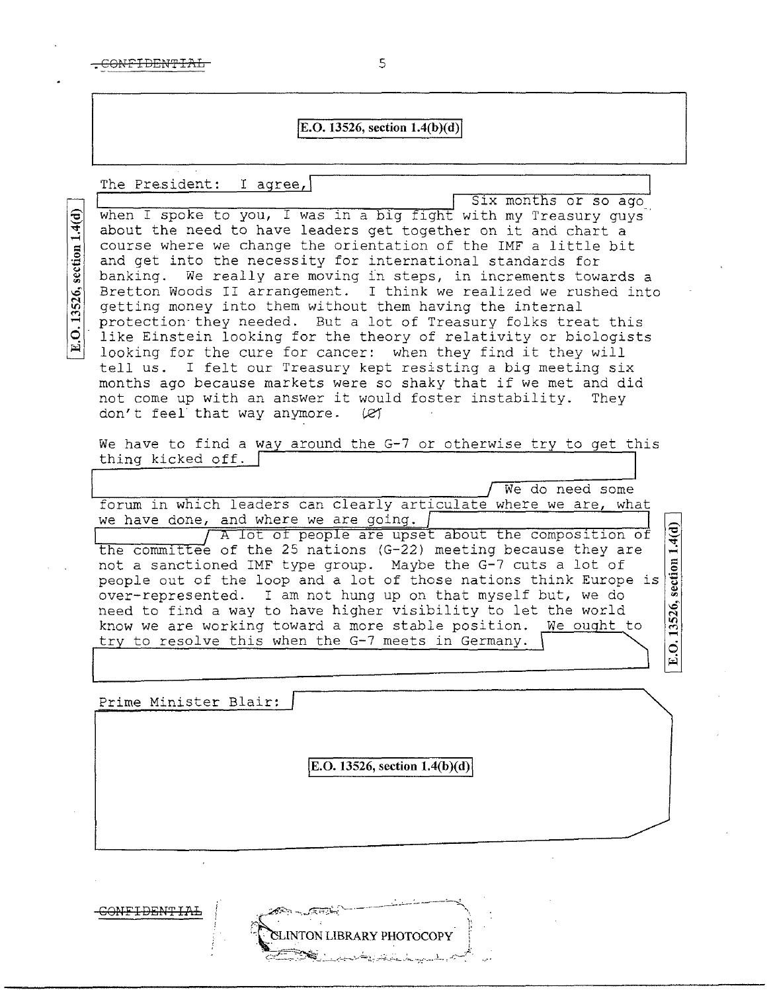## **E.O. 13526, section**  $1.4(b)(d)$

## The President: I agree,

E.O. 13526, section 1.4(d)

Six months or so ago when I spoke to you, I was in a big fight with my Treasury guys about the need to have leaders get together on it and chart a course where we change the orientation of the IMF a little bit and get into the necessity for international standards for banking. We really are moving in steps, in increments towards a Bretton Woods II arrangement. I think we realized we rushed into getting money into them without them having the internal protection· they needed. But a lot of Treasury folks treat this like Einstein looking for the theory of relativity or biologists looking for the cure for cancer: when they find it they will tell us. I felt our Treasury kept resisting a big meeting six months ago because markets were so shaky that if we met and did not come up with an answer it would foster instability. They not come up with an answer it would foster instability.<br>don't feel that way anymore.  $\mathcal{C}$ don't feel that way anymore.

We have to find a way around the G-7 or otherwise try to get this thing kicked off.

We do need some forum in which leaders can clearly articulate where we are, what A lot of people are upset about the composition of the committee of the 25 nations (G-22) meeting because they are not a sanctioned IMF type group. Maybe the G-7 cuts a lot of people out of the loop and a lot of those nations think Europe is we have done, and where we are going.

.§  $| \overline{\text{sec}} |$  $\frac{8}{10}$  $\vec{a}$ 

over-represented. I am not hung up on that myself but, we do need to find a way to have higher visibility to let the world know we are working toward a more stable position. We ought to try to resolve this when the G-7 meets in Germany.

Prime Minister Blair:

**E.O. 13526, section 1.4(b)(d)** 

NTON LIBRARY PHOTOCOPY

**GOHFI DEHT L",L**